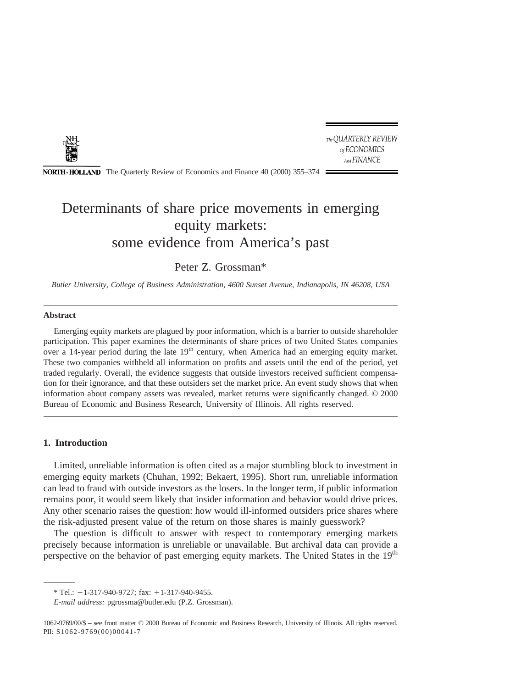

The QUARTERLY REVIEW of ECONOMICS And FINANCE

**NORTH-HOLLAND** The Quarterly Review of Economics and Finance 40 (2000) 355–374 :

## Determinants of share price movements in emerging equity markets: some evidence from America's past

Peter Z. Grossman\*

*Butler University, College of Business Administration, 4600 Sunset Avenue, Indianapolis, IN 46208, USA*

#### **Abstract**

Emerging equity markets are plagued by poor information, which is a barrier to outside shareholder participation. This paper examines the determinants of share prices of two United States companies over a 14-year period during the late 19<sup>th</sup> century, when America had an emerging equity market. These two companies withheld all information on profits and assets until the end of the period, yet traded regularly. Overall, the evidence suggests that outside investors received sufficient compensation for their ignorance, and that these outsiders set the market price. An event study shows that when information about company assets was revealed, market returns were significantly changed. © 2000 Bureau of Economic and Business Research, University of Illinois. All rights reserved.

#### **1. Introduction**

Limited, unreliable information is often cited as a major stumbling block to investment in emerging equity markets (Chuhan, 1992; Bekaert, 1995). Short run, unreliable information can lead to fraud with outside investors as the losers. In the longer term, if public information remains poor, it would seem likely that insider information and behavior would drive prices. Any other scenario raises the question: how would ill-informed outsiders price shares where the risk-adjusted present value of the return on those shares is mainly guesswork?

The question is difficult to answer with respect to contemporary emerging markets precisely because information is unreliable or unavailable. But archival data can provide a perspective on the behavior of past emerging equity markets. The United States in the 19<sup>th</sup>

 $*$  Tel.: +1-317-940-9727; fax: +1-317-940-9455.

*E-mail address:* pgrossma@butler.edu (P.Z. Grossman).

<sup>1062-9769/00/\$ –</sup> see front matter © 2000 Bureau of Economic and Business Research, University of Illinois. All rights reserved. PII: S1062-9769(00)00041-7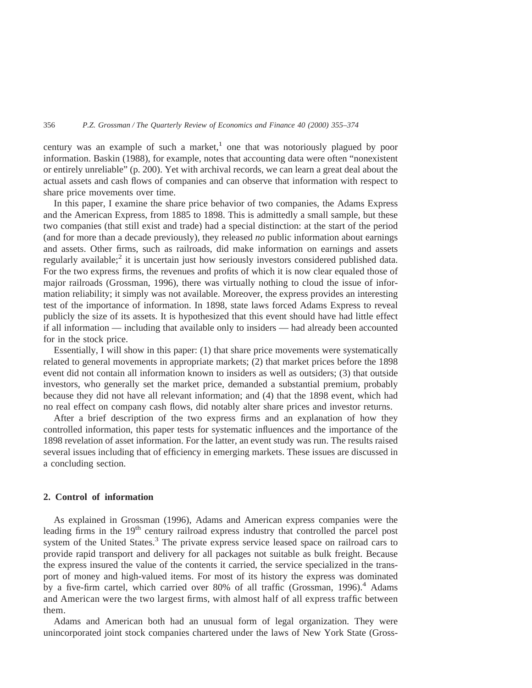century was an example of such a market,<sup>1</sup> one that was notoriously plagued by poor information. Baskin (1988), for example, notes that accounting data were often "nonexistent or entirely unreliable" (p. 200). Yet with archival records, we can learn a great deal about the actual assets and cash flows of companies and can observe that information with respect to share price movements over time.

In this paper, I examine the share price behavior of two companies, the Adams Express and the American Express, from 1885 to 1898. This is admittedly a small sample, but these two companies (that still exist and trade) had a special distinction: at the start of the period (and for more than a decade previously), they released *no* public information about earnings and assets. Other firms, such as railroads, did make information on earnings and assets regularly available;<sup>2</sup> it is uncertain just how seriously investors considered published data. For the two express firms, the revenues and profits of which it is now clear equaled those of major railroads (Grossman, 1996), there was virtually nothing to cloud the issue of information reliability; it simply was not available. Moreover, the express provides an interesting test of the importance of information. In 1898, state laws forced Adams Express to reveal publicly the size of its assets. It is hypothesized that this event should have had little effect if all information — including that available only to insiders — had already been accounted for in the stock price.

Essentially, I will show in this paper: (1) that share price movements were systematically related to general movements in appropriate markets; (2) that market prices before the 1898 event did not contain all information known to insiders as well as outsiders; (3) that outside investors, who generally set the market price, demanded a substantial premium, probably because they did not have all relevant information; and (4) that the 1898 event, which had no real effect on company cash flows, did notably alter share prices and investor returns.

After a brief description of the two express firms and an explanation of how they controlled information, this paper tests for systematic influences and the importance of the 1898 revelation of asset information. For the latter, an event study was run. The results raised several issues including that of efficiency in emerging markets. These issues are discussed in a concluding section.

### **2. Control of information**

As explained in Grossman (1996), Adams and American express companies were the leading firms in the 19<sup>th</sup> century railroad express industry that controlled the parcel post system of the United States.<sup>3</sup> The private express service leased space on railroad cars to provide rapid transport and delivery for all packages not suitable as bulk freight. Because the express insured the value of the contents it carried, the service specialized in the transport of money and high-valued items. For most of its history the express was dominated by a five-firm cartel, which carried over 80% of all traffic (Grossman, 1996).<sup>4</sup> Adams and American were the two largest firms, with almost half of all express traffic between them.

Adams and American both had an unusual form of legal organization. They were unincorporated joint stock companies chartered under the laws of New York State (Gross-